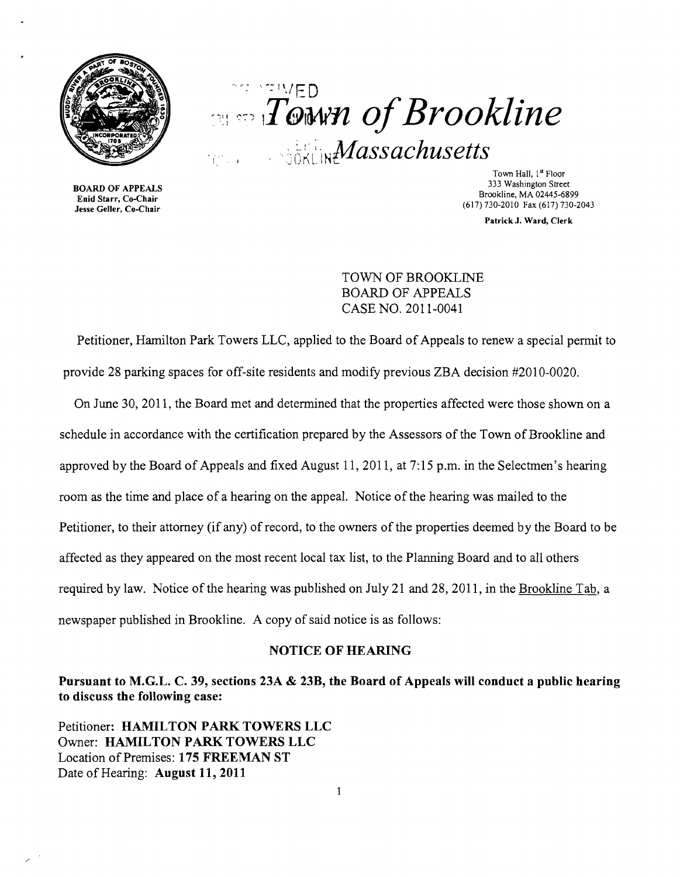



Enid Starr, Co-Chair

Town Hall, 1st Floor 333 Washington Street 333 Washington Street 333 Washington Street 333 Washington Street 333 Washington Street (617) 730-2010 Fax (617)730-2043 Jesse Geller, Co-Chair

Patrick J. Ward, Clerk

TOWN OF BROOKLINE BOARD OF APPEALS CASE NO. 2011-0041

Petitioner, Hamilton Park Towers LLC, applied to the Board of Appeals to renew a special permit to provide 28 parking spaces for off-site residents and modify previous ZBA decision #2010-0020.

On June 30, 2011, the Board met and determined that the properties affected were those shown on a schedule in accordance with the certification prepared by the Assessors of the Town of Brookline and approved by the Board of Appeals and fixed August 11,2011, at 7:15 p.m. in the Selectmen's hearing room as the time and place of a hearing on the appeal. Notice of the hearing was mailed to the Petitioner, to their attorney (if any) of record, to the owners of the properties deemed by the Board to be affected as they appeared on the most recent local tax list, to the Planning Board and to all others required by law. Notice of the hearing was published on July 21 and 28,2011, in the Brookline Tab, a newspaper published in Brookline. A copy of said notice is as follows:

## NOTICE OF HEARING

Pursuant to M.G.L. C. 39, sections 23A & 23B, the Board of Appeals will conduct a public hearing to discuss the following case:

Petitioner: HAMILTON PARK TOWERS LLC Owner: HAMILTON PARK TOWERS LLC Location of Premises: 175 FREEMAN ST Date of Hearing: August 11, 2011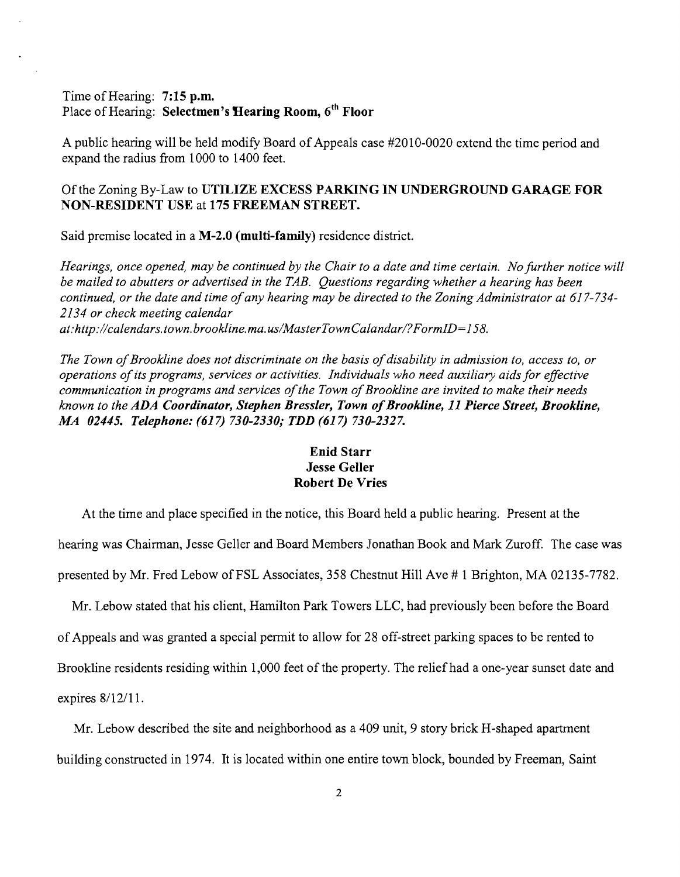## Time of Hearing: 7:15 p.m. Place of Hearing: Selectmen's Hearing Room, 6<sup>th</sup> Floor

A public hearing will be held modify Board of Appeals case #2010-0020 extend the time period and expand the radius from 1000 to 1400 feet.

Of the Zoning By-Law to UTILIZE EXCESS PARKING IN UNDERGROUND GARAGE FOR NON-RESIDENT USE at 175 FREEMAN STREET.

Said premise located in a M-2.0 (multi-family) residence district.

*Hearings, once opened, may be continued by the Chair to a date and time certain. No further notice will be mailed to abutters or advertised in the TAB. Questions regarding whether a hearing has been continued, or the date and time ofany hearing may be directed to the Zoning Administrator at 617-734 2134 or check meeting calendar at:http://calendars. town. brookline.ma. uslMasterTownCalandar/?FormID=158.* 

The Town of Brookline does not discriminate on the basis of disability in admission to, access to, or *operations ofits programs, services or activities. Individuals who need auxiliary aids for effective communication in programs and services of the Town of Brookline are invited to make their needs known to the ADA Coordinator, Stephen Bressler, Town ofBrookline,* 11 *Pierce Street, Brookline, MA 02445. Telephone:* (617) *730-2330; TDD* (617) *730-2327.* 

## Enid Starr Jesse Geller Robert De Vries

At the time and place specified in the notice, this Board held a public hearing. Present at the hearing was Chairman, Jesse Geller and Board Members Jonathan Book and Mark Zuroff. The case was presented by Mr. Fred Lebow of FSL Associates, 358 Chestnut Hill Ave # 1 Brighton, MA 02135-7782.

Mr. Lebow stated that his client, Hamilton Park Towers LLC, had previously been before the Board

ofAppeals and was granted a special permit to allow for 28 off-street parking spaces to be rented to

Brookline residents residing within 1,000 feet of the property. The relief had a one-year sunset date and

expires 8/12/11.

Mr. Lebow described the site and neighborhood as a 409 unit, 9 story brick H-shaped apartment building constructed in 1974. It is located within one entire town block, bounded by Freeman, Saint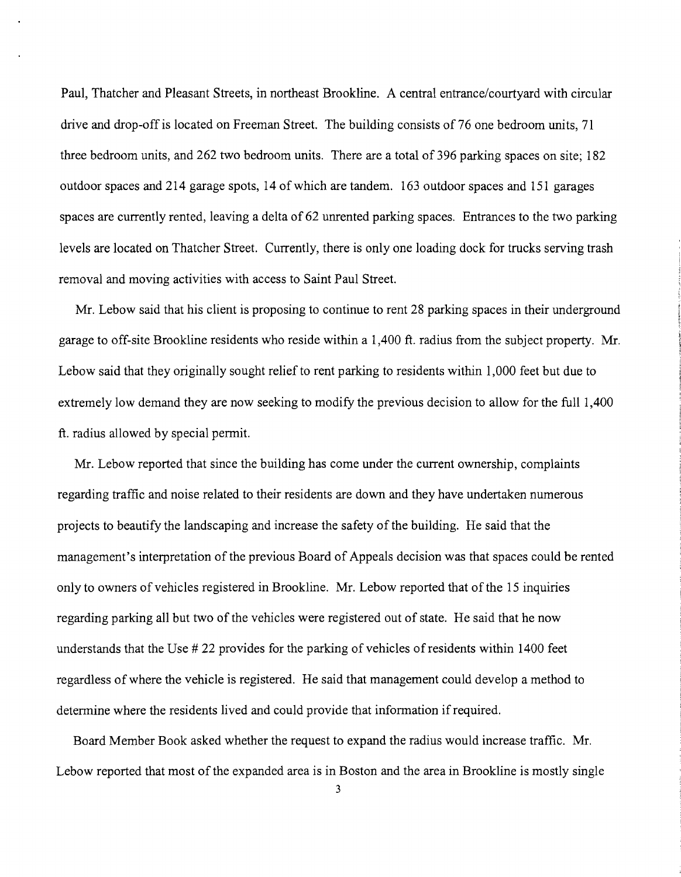Paul, Thatcher and Pleasant Streets, in northeast Brookline. A central entrance/courtyard with circular drive and drop-off is located on Freeman Street. The building consists of 76 one bedroom units, 71 three bedroom units, and 262 two bedroom units. There are a total of 396 parking spaces on site; 182 outdoor spaces and 214 garage spots, 14 of which are tandem. 163 outdoor spaces and 151 garages spaces are currently rented, leaving a delta of 62 unrented parking spaces. Entrances to the two parking levels are located on Thatcher Street. Currently, there is only one loading dock for trucks serving trash removal and moving activities with access to Saint Paul Street.

Mr. Lebow said that his client is proposing to continue to rent 28 parking spaces in their underground garage to off-site Brookline residents who reside within a 1,400 ft. radius from the subject property. Mr. Lebow said that they originally sought relief to rent parking to residents within 1,000 feet but due to extremely low demand they are now seeking to modify the previous decision to allow for the full 1,400 ft. radius allowed by special permit.

Mr. Lebow reported that since the building has come under the current ownership, complaints regarding traffic and noise related to their residents are down and they have undertaken numerous projects to beautify the landscaping and increase the safety of the building. He said that the management's interpretation of the previous Board of Appeals decision was that spaces could be rented only to owners of vehicles registered in Brookline. Mr. Lebow reported that of the 15 inquiries regarding parking all but two of the vehicles were registered out of state. He said that he now understands that the Use # 22 provides for the parking of vehicles ofresidents within 1400 feet regardless of where the vehicle is registered. He said that management could develop a method to determine where the residents lived and could provide that information if required.

Board Member Book asked whether the request to expand the radius would increase traffic. Mr. Lebow reported that most of the expanded area is in Boston and the area in Brookline is mostly single

3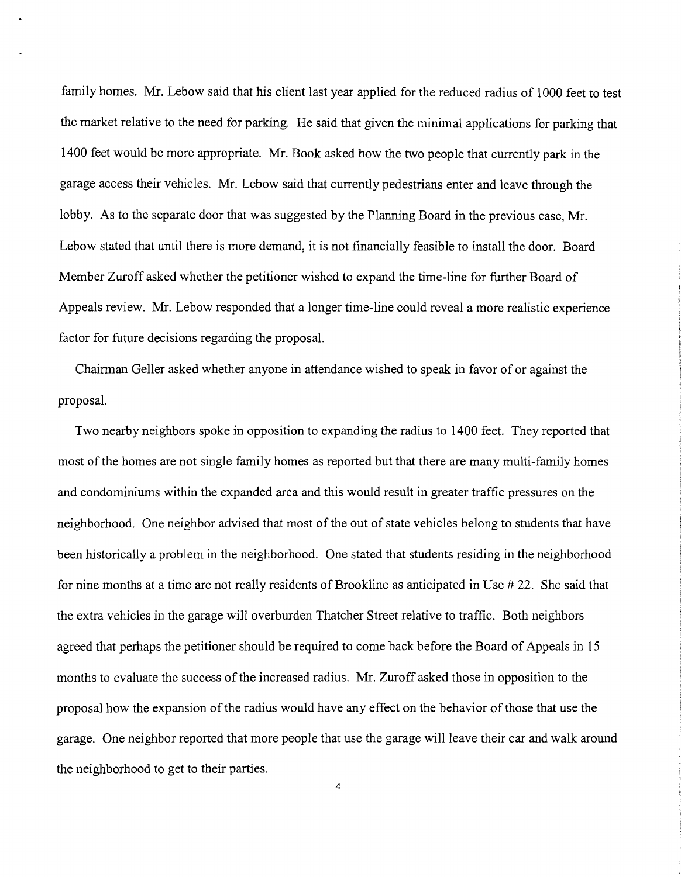family homes. Mr. Lebow said that his client last year applied for the reduced radius of 1000 feet to test the market relative to the need for parking. He said that given the minimal applications for parking that 1400 feet would be more appropriate. Mr. Book asked how the two people that currently park in the garage access their vehicles. Mr. Lebow said that currently pedestrians enter and leave through the lobby. As to the separate door that was suggested by the Planning Board in the previous case, Mr. Lebow stated that until there is more demand, it is not financially feasible to install the door. Board Member Zuroff asked whether the petitioner wished to expand the time-line for further Board of Appeals review. Mr. Lebow responded that a longer time-line could reveal a more realistic experience factor for future decisions regarding the proposal.

Chairman Geller asked whether anyone in attendance wished to speak in favor of or against the proposal.

Two nearby neighbors spoke in opposition to expanding the radius to 1400 feet. They reported that most of the homes are not single family homes as reported but that there are many multi-family homes and condominiums within the expanded area and this would result in greater traffic pressures on the neighborhood. One neighbor advised that most of the out of state vehicles belong to students that have been historically a problem in the neighborhood. One stated that students residing in the neighborhood for nine months at a time are not really residents of Brookline as anticipated in Use # 22. She said that the extra vehicles in the garage will overburden Thatcher Street relative to traffic. Both neighbors agreed that perhaps the petitioner should be required to come back before the Board of Appeals in 15 months to evaluate the success of the increased radius. Mr. Zuroff asked those in opposition to the proposal how the expansion ofthe radius would have any effect on the behavior ofthose that use the garage. One neighbor reported that more people that use the garage will leave their car and walk around the neighborhood to get to their parties.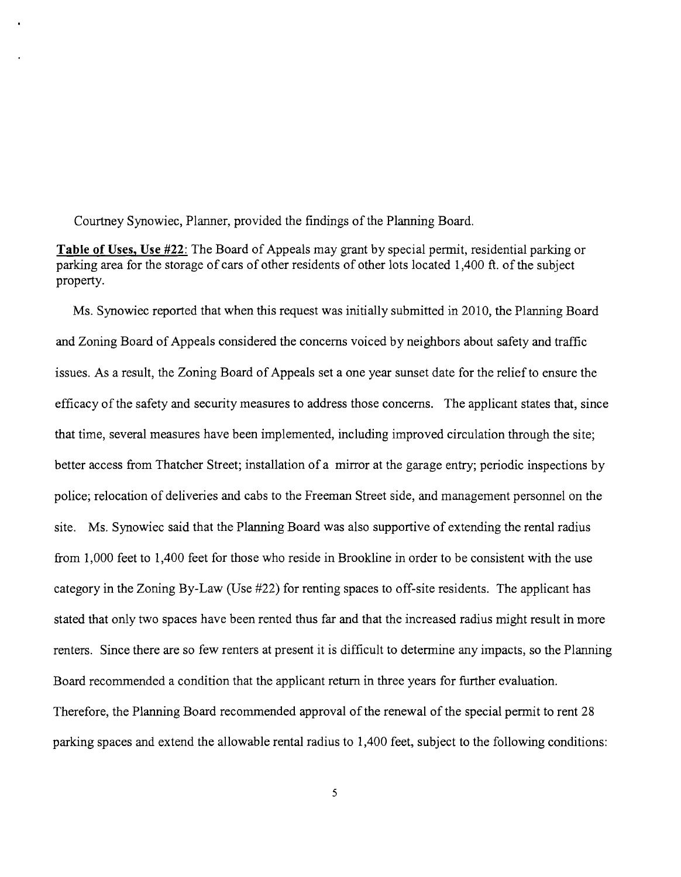Courtney Synowiec, Planner, provided the findings of the Planning Board.

**Table of Uses, Use** #22: The Board of Appeals may grant by special permit, residential parking or parking area for the storage of cars of other residents of other lots located 1,400 ft. of the subject property.

Ms. Synowiec reported that when this request was initially submitted in 2010, the Planning Board and Zoning Board of Appeals considered the concerns voiced by neighbors about safety and traffic issues. As a result, the Zoning Board of Appeals set a one year sunset date for the relief to ensure the efficacy of the safety and security measures to address those concerns. The applicant states that, since that time, several measures have been implemented, including improved circulation through the site; better access from Thatcher Street; installation of a mirror at the garage entry; periodic inspections by police; relocation of deliveries and cabs to the Freeman Street side, and management personnel on the site. Ms. Synowiec said that the Planning Board was also supportive of extending the rental radius from 1,000 feet to 1,400 feet for those who reside in Brookline in order to be consistent with the use category in the Zoning By-Law (Use #22) for renting spaces to off-site residents. The applicant has stated that only two spaces have been rented thus far and that the increased radius might result in more renters. Since there are so few renters at present it is difficult to determine any impacts, so the Planning Board recommended a condition that the applicant return in three years for further evaluation. Therefore, the Planning Board recommended approval of the renewal of the special permit to rent 28 parking spaces and extend the allowable rental radius to 1,400 feet, subject to the following conditions: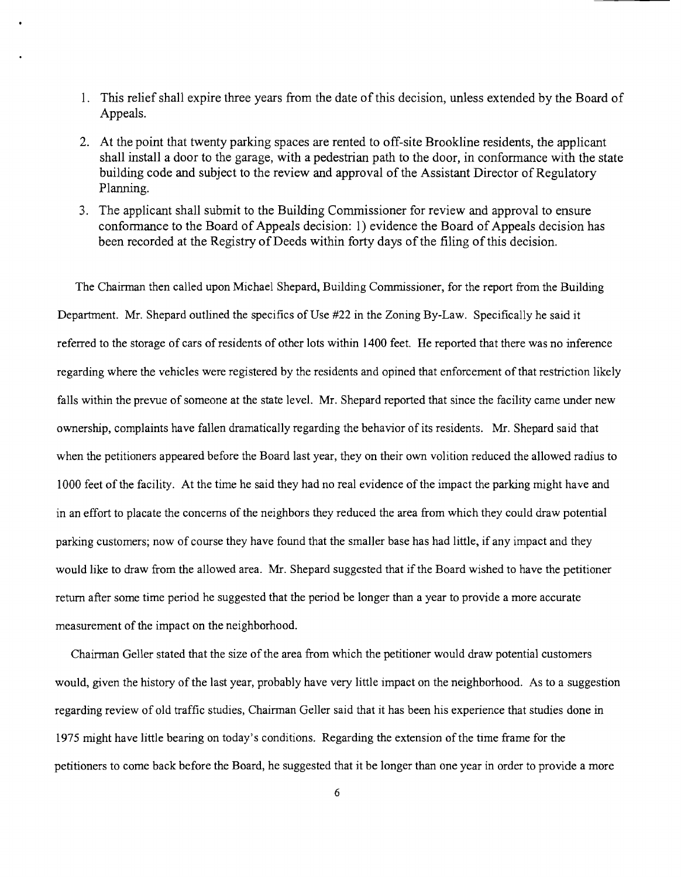- 1. This relief shall expire three years from the date of this decision, unless extended by the Board of Appeals.
- 2. At the point that twenty parking spaces are rented to off-site Brookline residents, the applicant shall install a door to the garage, with a pedestrian path to the door, in conformance with the state building code and subject to the review and approval of the Assistant Director of Regulatory Planning.
- 3. The applicant shall submit to the Building Commissioner for review and approval to ensure conformance to the Board of Appeals decision: 1) evidence the Board of Appeals decision has been recorded at the Registry of Deeds within forty days of the filing of this decision.

The Chairman then called upon Michael Shepard, Building Commissioner, for the report from the Building Department. Mr. Shepard outlined the specifics of Use #22 in the Zoning By-Law. Specifically he said it referred to the storage of cars of residents of other lots within 1400 feet. He reported that there was no inference regarding where the vehicles were registered by the residents and opined that enforcement ofthat restriction likely falls within the prevue of someone at the state level. Mr. Shepard reported that since the facility came under new ownership, complaints have fallen dramatically regarding the behavior of its residents. Mr. Shepard said that when the petitioners appeared before the Board last year, they on their own volition reduced the allowed radius to 1000 feet of the facility. At the time he said they had no real evidence of the impact the parking might have and in an effort to placate the concerns of the neighbors they reduced the area from which they could draw potential parking customers; now of course they have found that the smaller base has had little, if any impact and they would like to draw from the allowed area. Mr. Shepard suggested that if the Board wished to have the petitioner return after some time period he suggested that the period be longer than a year to provide a more accurate measurement of the impact on the neighborhood.

Chairman Geller stated that the size of the area from which the petitioner would draw potential customers would, given the history of the last year, probably have very little impact on the neighborhood. As to a suggestion regarding review of old traffic studies, Chairman Geller said that it has been his experience that studies done in 1975 might have little bearing on today's conditions. Regarding the extension of the time frame for the petitioners to come back before the Board, he suggested that it be longer than one year in order to provide a more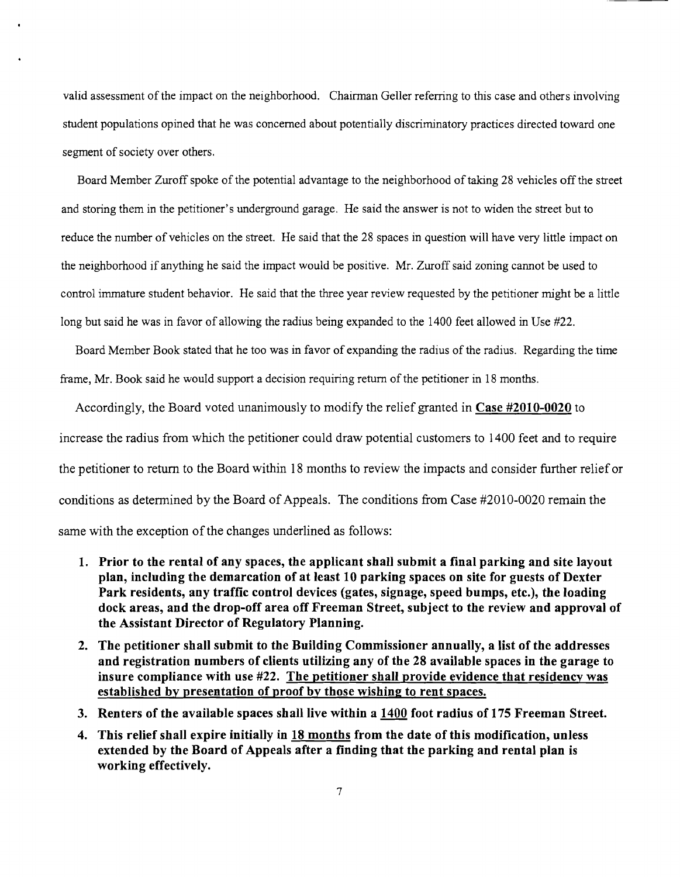valid assessment of the impact on the neighborhood. Chairman Geller referring to this case and others involving student populations opined that he was concerned about potentially discriminatory practices directed toward one segment of society over others.

Board Member Zuroff spoke of the potential advantage to the neighborhood of taking 28 vehicles off the street and storing them in the petitioner's underground garage. He said the answer is not to widen the street but to reduce the number of vehicles on the street. He said that the 28 spaces in question will have very little impact on the neighborhood if anything he said the impact would be positive. Mr. Zuroff said zoning cannot be used to control immature student behavior. He said that the three year review requested by the petitioner might be a little long but said he was in favor of allowing the radius being expanded to the 1400 feet allowed in Use #22.

Board Member Book stated that he too was in favor of expanding the radius of the radius. Regarding the time frame, Mr. Book said he would support a decision requiring return of the petitioner in 18 months.

Accordingly, the Board voted unanimously to modify the relief granted in **Case #2010-0020 to**  increase the radius from which the petitioner could draw potential customers to 1400 feet and to require the petitioner to return to the Board within 18 months to review the impacts and consider further relief or conditions as determined by the Board of Appeals. The conditions from Case #2010-0020 remain the same with the exception of the changes underlined as follows:

- **1. Prior to the rental of any spaces, the applicant shall submit a final parking and site layout plan, including the demarcation of at least 10 parking spaces on site for guests of Dexter Park residents, any traffic control devices (gates,** signage, **speed bumps, etc.), the loading dock areas, and the drop-off area off Freeman Street, subject to the review and approval of the Assistant Director of Regulatory Planning.**
- **2. The petitioner shall submit to the Building Commissioner annually, a list of the addresses and registration numbers of clients utilizing any of the 28 available spaces in the garage to insure compliance with use #22. The petitioner shall provide evidence that residency was established by presentation of proof by those wishing to rent spaces.**
- **3. Renters of the available spaces** shall live **within a 1400 foot radius of 175 Freeman Street.**
- **4. This relief shall expire initially in 18 months from the date of this modification, unless extended by the Board of Appeals after a finding that the parking and rental plan is working effectively.**